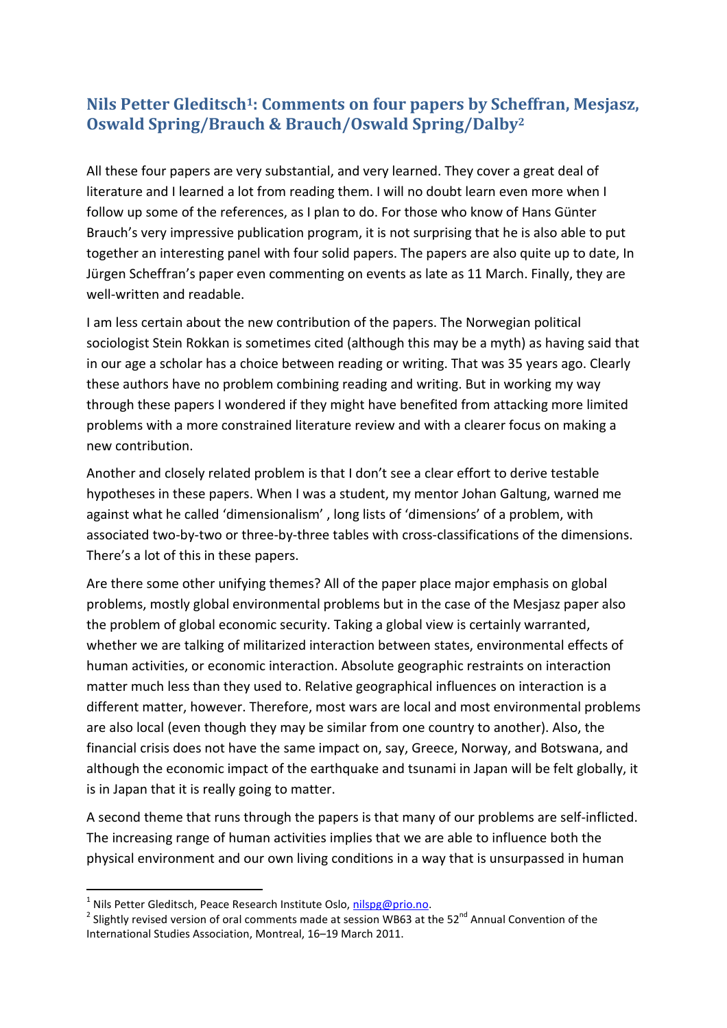## Nils Petter Gleditsch<sup>1</sup>: Comments on four papers by Scheffran, Mesjasz, Oswald Spring/Brauch & Brauch/Oswald Spring/Dalby<sup>2</sup>

All these four papers are very substantial, and very learned. They cover a great deal of literature and I learned a lot from reading them. I will no doubt learn even more when I follow up some of the references, as I plan to do. For those who know of Hans Günter Brauch's very impressive publication program, it is not surprising that he is also able to put together an interesting panel with four solid papers. The papers are also quite up to date, In Jürgen Scheffran's paper even commenting on events as late as 11 March. Finally, they are well-written and readable.

I am less certain about the new contribution of the papers. The Norwegian political sociologist Stein Rokkan is sometimes cited (although this may be a myth) as having said that in our age a scholar has a choice between reading or writing. That was 35 years ago. Clearly these authors have no problem combining reading and writing. But in working my way through these papers I wondered if they might have benefited from attacking more limited problems with a more constrained literature review and with a clearer focus on making a new contribution.

Another and closely related problem is that I don't see a clear effort to derive testable hypotheses in these papers. When I was a student, my mentor Johan Galtung, warned me against what he called 'dimensionalism' , long lists of 'dimensions' of a problem, with associated two-by-two or three-by-three tables with cross-classifications of the dimensions. There's a lot of this in these papers.

Are there some other unifying themes? All of the paper place major emphasis on global problems, mostly global environmental problems but in the case of the Mesjasz paper also the problem of global economic security. Taking a global view is certainly warranted, whether we are talking of militarized interaction between states, environmental effects of human activities, or economic interaction. Absolute geographic restraints on interaction matter much less than they used to. Relative geographical influences on interaction is a different matter, however. Therefore, most wars are local and most environmental problems are also local (even though they may be similar from one country to another). Also, the financial crisis does not have the same impact on, say, Greece, Norway, and Botswana, and although the economic impact of the earthquake and tsunami in Japan will be felt globally, it is in Japan that it is really going to matter.

A second theme that runs through the papers is that many of our problems are self-inflicted. The increasing range of human activities implies that we are able to influence both the physical environment and our own living conditions in a way that is unsurpassed in human

j

<sup>&</sup>lt;sup>1</sup> Nils Petter Gleditsch, Peace Research Institute Oslo, nilspg@prio.no.

<sup>&</sup>lt;sup>2</sup> Slightly revised version of oral comments made at session WB63 at the 52<sup>nd</sup> Annual Convention of the International Studies Association, Montreal, 16–19 March 2011.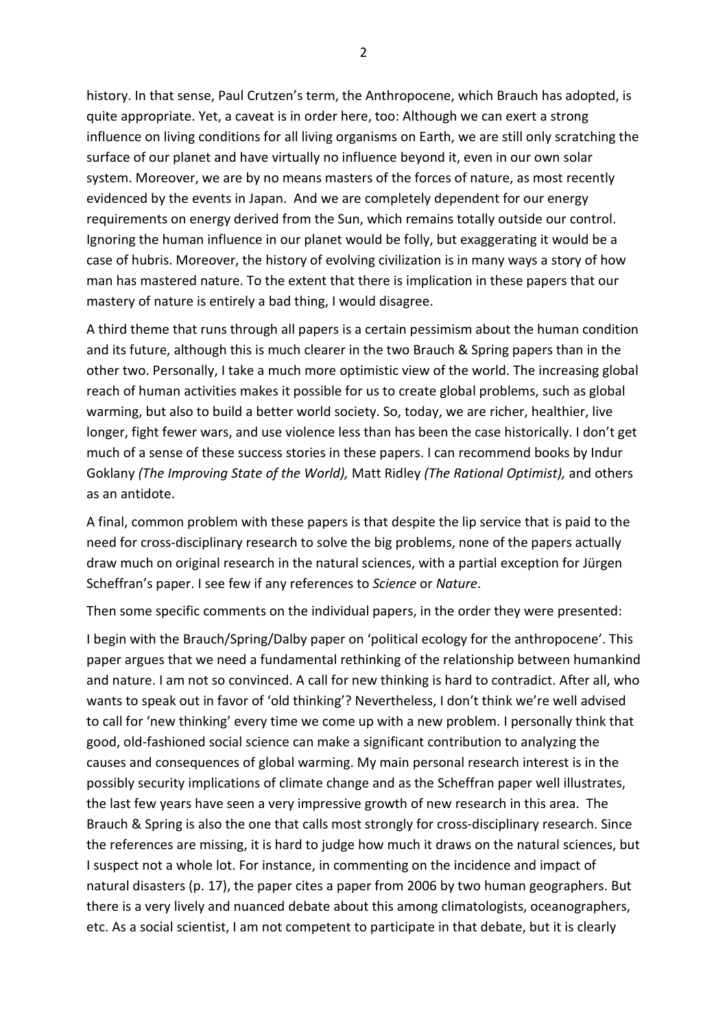history. In that sense, Paul Crutzen's term, the Anthropocene, which Brauch has adopted, is quite appropriate. Yet, a caveat is in order here, too: Although we can exert a strong influence on living conditions for all living organisms on Earth, we are still only scratching the surface of our planet and have virtually no influence beyond it, even in our own solar system. Moreover, we are by no means masters of the forces of nature, as most recently evidenced by the events in Japan. And we are completely dependent for our energy requirements on energy derived from the Sun, which remains totally outside our control. Ignoring the human influence in our planet would be folly, but exaggerating it would be a case of hubris. Moreover, the history of evolving civilization is in many ways a story of how man has mastered nature. To the extent that there is implication in these papers that our mastery of nature is entirely a bad thing, I would disagree.

A third theme that runs through all papers is a certain pessimism about the human condition and its future, although this is much clearer in the two Brauch & Spring papers than in the other two. Personally, I take a much more optimistic view of the world. The increasing global reach of human activities makes it possible for us to create global problems, such as global warming, but also to build a better world society. So, today, we are richer, healthier, live longer, fight fewer wars, and use violence less than has been the case historically. I don't get much of a sense of these success stories in these papers. I can recommend books by Indur Goklany (The Improving State of the World), Matt Ridley (The Rational Optimist), and others as an antidote.

A final, common problem with these papers is that despite the lip service that is paid to the need for cross-disciplinary research to solve the big problems, none of the papers actually draw much on original research in the natural sciences, with a partial exception for Jürgen Scheffran's paper. I see few if any references to Science or Nature.

Then some specific comments on the individual papers, in the order they were presented:

I begin with the Brauch/Spring/Dalby paper on 'political ecology for the anthropocene'. This paper argues that we need a fundamental rethinking of the relationship between humankind and nature. I am not so convinced. A call for new thinking is hard to contradict. After all, who wants to speak out in favor of 'old thinking'? Nevertheless, I don't think we're well advised to call for 'new thinking' every time we come up with a new problem. I personally think that good, old-fashioned social science can make a significant contribution to analyzing the causes and consequences of global warming. My main personal research interest is in the possibly security implications of climate change and as the Scheffran paper well illustrates, the last few years have seen a very impressive growth of new research in this area. The Brauch & Spring is also the one that calls most strongly for cross-disciplinary research. Since the references are missing, it is hard to judge how much it draws on the natural sciences, but I suspect not a whole lot. For instance, in commenting on the incidence and impact of natural disasters (p. 17), the paper cites a paper from 2006 by two human geographers. But there is a very lively and nuanced debate about this among climatologists, oceanographers, etc. As a social scientist, I am not competent to participate in that debate, but it is clearly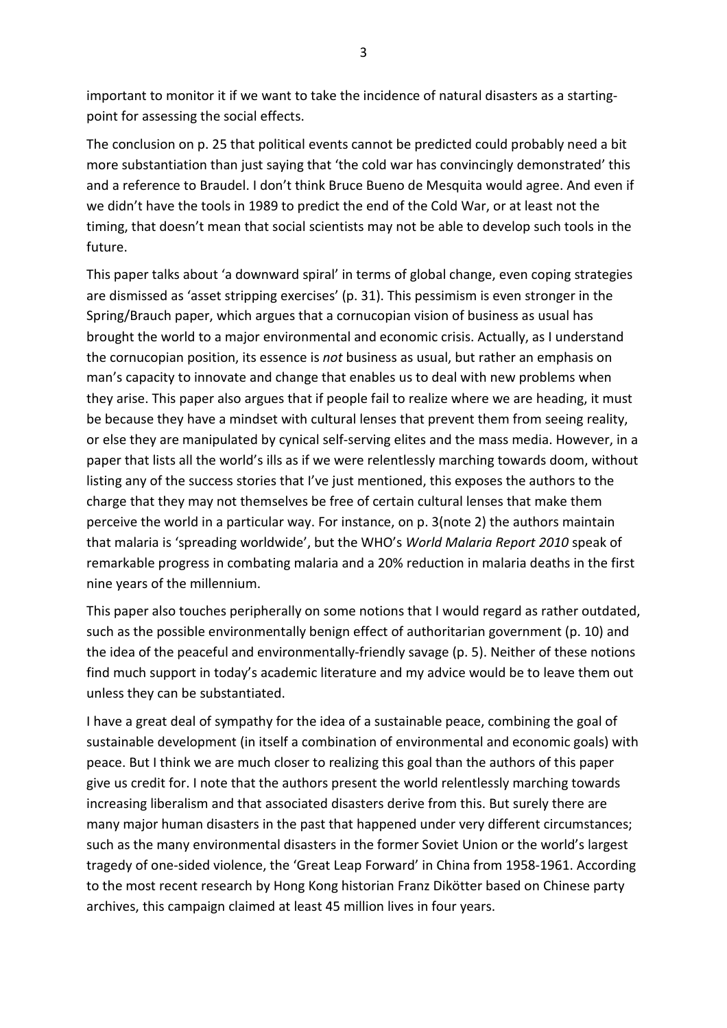important to monitor it if we want to take the incidence of natural disasters as a startingpoint for assessing the social effects.

The conclusion on p. 25 that political events cannot be predicted could probably need a bit more substantiation than just saying that 'the cold war has convincingly demonstrated' this and a reference to Braudel. I don't think Bruce Bueno de Mesquita would agree. And even if we didn't have the tools in 1989 to predict the end of the Cold War, or at least not the timing, that doesn't mean that social scientists may not be able to develop such tools in the future.

This paper talks about 'a downward spiral' in terms of global change, even coping strategies are dismissed as 'asset stripping exercises' (p. 31). This pessimism is even stronger in the Spring/Brauch paper, which argues that a cornucopian vision of business as usual has brought the world to a major environmental and economic crisis. Actually, as I understand the cornucopian position, its essence is not business as usual, but rather an emphasis on man's capacity to innovate and change that enables us to deal with new problems when they arise. This paper also argues that if people fail to realize where we are heading, it must be because they have a mindset with cultural lenses that prevent them from seeing reality, or else they are manipulated by cynical self-serving elites and the mass media. However, in a paper that lists all the world's ills as if we were relentlessly marching towards doom, without listing any of the success stories that I've just mentioned, this exposes the authors to the charge that they may not themselves be free of certain cultural lenses that make them perceive the world in a particular way. For instance, on p. 3(note 2) the authors maintain that malaria is 'spreading worldwide', but the WHO's World Malaria Report 2010 speak of remarkable progress in combating malaria and a 20% reduction in malaria deaths in the first nine years of the millennium.

This paper also touches peripherally on some notions that I would regard as rather outdated, such as the possible environmentally benign effect of authoritarian government (p. 10) and the idea of the peaceful and environmentally-friendly savage (p. 5). Neither of these notions find much support in today's academic literature and my advice would be to leave them out unless they can be substantiated.

I have a great deal of sympathy for the idea of a sustainable peace, combining the goal of sustainable development (in itself a combination of environmental and economic goals) with peace. But I think we are much closer to realizing this goal than the authors of this paper give us credit for. I note that the authors present the world relentlessly marching towards increasing liberalism and that associated disasters derive from this. But surely there are many major human disasters in the past that happened under very different circumstances; such as the many environmental disasters in the former Soviet Union or the world's largest tragedy of one-sided violence, the 'Great Leap Forward' in China from 1958-1961. According to the most recent research by Hong Kong historian Franz Dikötter based on Chinese party archives, this campaign claimed at least 45 million lives in four years.

3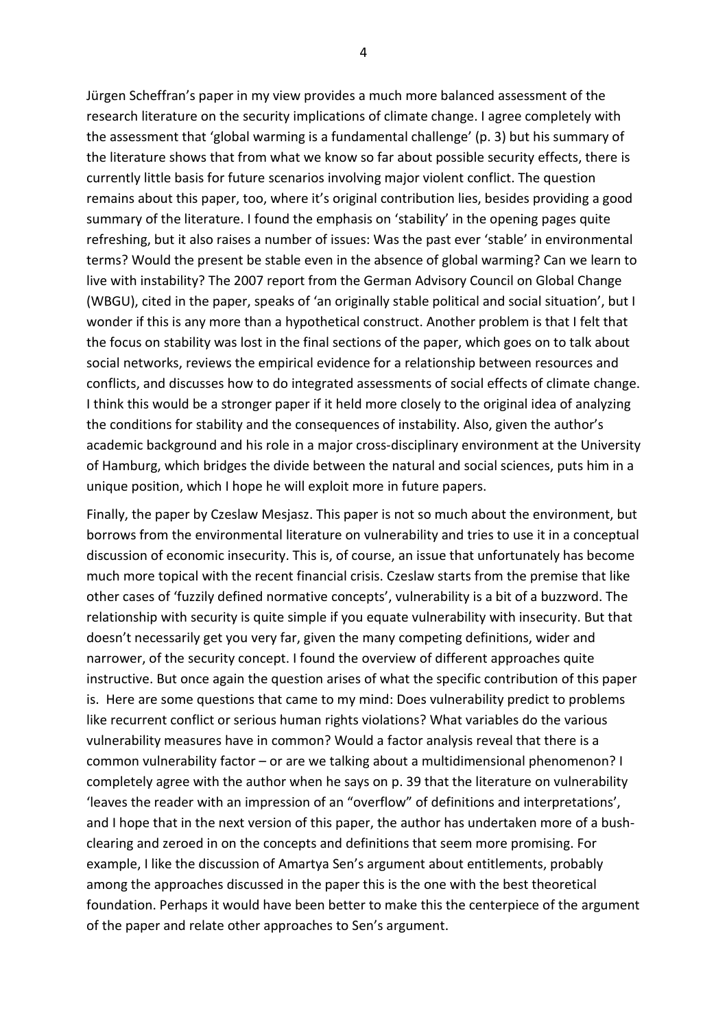Jürgen Scheffran's paper in my view provides a much more balanced assessment of the research literature on the security implications of climate change. I agree completely with the assessment that 'global warming is a fundamental challenge' (p. 3) but his summary of the literature shows that from what we know so far about possible security effects, there is currently little basis for future scenarios involving major violent conflict. The question remains about this paper, too, where it's original contribution lies, besides providing a good summary of the literature. I found the emphasis on 'stability' in the opening pages quite refreshing, but it also raises a number of issues: Was the past ever 'stable' in environmental terms? Would the present be stable even in the absence of global warming? Can we learn to live with instability? The 2007 report from the German Advisory Council on Global Change (WBGU), cited in the paper, speaks of 'an originally stable political and social situation', but I wonder if this is any more than a hypothetical construct. Another problem is that I felt that the focus on stability was lost in the final sections of the paper, which goes on to talk about social networks, reviews the empirical evidence for a relationship between resources and conflicts, and discusses how to do integrated assessments of social effects of climate change. I think this would be a stronger paper if it held more closely to the original idea of analyzing the conditions for stability and the consequences of instability. Also, given the author's academic background and his role in a major cross-disciplinary environment at the University of Hamburg, which bridges the divide between the natural and social sciences, puts him in a unique position, which I hope he will exploit more in future papers.

Finally, the paper by Czeslaw Mesjasz. This paper is not so much about the environment, but borrows from the environmental literature on vulnerability and tries to use it in a conceptual discussion of economic insecurity. This is, of course, an issue that unfortunately has become much more topical with the recent financial crisis. Czeslaw starts from the premise that like other cases of 'fuzzily defined normative concepts', vulnerability is a bit of a buzzword. The relationship with security is quite simple if you equate vulnerability with insecurity. But that doesn't necessarily get you very far, given the many competing definitions, wider and narrower, of the security concept. I found the overview of different approaches quite instructive. But once again the question arises of what the specific contribution of this paper is. Here are some questions that came to my mind: Does vulnerability predict to problems like recurrent conflict or serious human rights violations? What variables do the various vulnerability measures have in common? Would a factor analysis reveal that there is a common vulnerability factor – or are we talking about a multidimensional phenomenon? I completely agree with the author when he says on p. 39 that the literature on vulnerability 'leaves the reader with an impression of an "overflow" of definitions and interpretations', and I hope that in the next version of this paper, the author has undertaken more of a bushclearing and zeroed in on the concepts and definitions that seem more promising. For example, I like the discussion of Amartya Sen's argument about entitlements, probably among the approaches discussed in the paper this is the one with the best theoretical foundation. Perhaps it would have been better to make this the centerpiece of the argument of the paper and relate other approaches to Sen's argument.

4